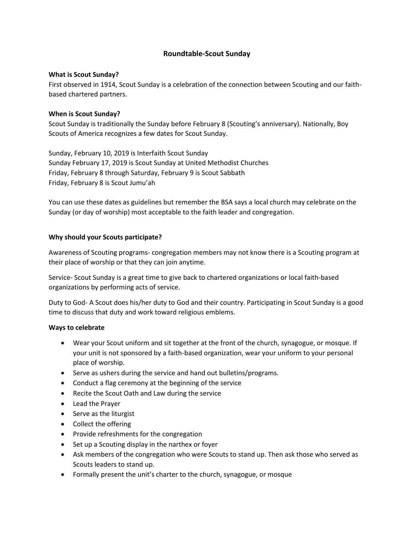# **Roundtable-Scout Sunday**

# **What is Scout Sunday?**

First observed in 1914, Scout Sunday is a celebration of the connection between Scouting and our faithbased chartered partners.

# **When is Scout Sunday?**

Scout Sunday is traditionally the Sunday before February 8 (Scouting's anniversary). Nationally, Boy Scouts of America recognizes a few dates for Scout Sunday.

Sunday, February 10, 2019 is Interfaith Scout Sunday Sunday February 17, 2019 is Scout Sunday at United Methodist Churches Friday, February 8 through Saturday, February 9 is Scout Sabbath Friday, February 8 is Scout Jumu'ah

You can use these dates as guidelines but remember the BSA says a local church may celebrate on the Sunday (or day of worship) most acceptable to the faith leader and congregation.

# **Why should your Scouts participate?**

Awareness of Scouting programs- congregation members may not know there is a Scouting program at their place of worship or that they can join anytime.

Service- Scout Sunday is a great time to give back to chartered organizations or local faith-based organizations by performing acts of service.

Duty to God- A Scout does his/her duty to God and their country. Participating in Scout Sunday is a good time to discuss that duty and work toward religious emblems.

#### **Ways to celebrate**

- Wear your Scout uniform and sit together at the front of the church, synagogue, or mosque. If your unit is not sponsored by a faith-based organization, wear your uniform to your personal place of worship.
- Serve as ushers during the service and hand out bulletins/programs.
- Conduct a flag ceremony at the beginning of the service
- Recite the Scout Oath and Law during the service
- Lead the Prayer
- Serve as the liturgist
- Collect the offering
- Provide refreshments for the congregation
- Set up a Scouting display in the narthex or foyer
- Ask members of the congregation who were Scouts to stand up. Then ask those who served as Scouts leaders to stand up.
- Formally present the unit's charter to the church, synagogue, or mosque